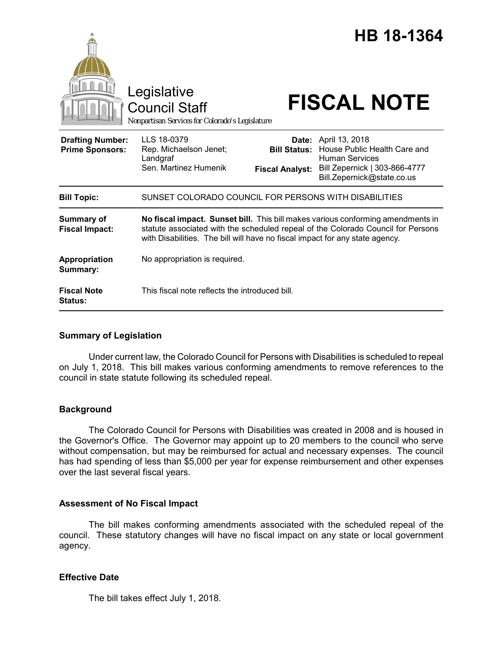|                                                   | Legislative<br><b>Council Staff</b><br>Nonpartisan Services for Colorado's Legislature                                                                                                                                                              |                                                        | HB 18-1364<br><b>FISCAL NOTE</b>                                                                                                       |
|---------------------------------------------------|-----------------------------------------------------------------------------------------------------------------------------------------------------------------------------------------------------------------------------------------------------|--------------------------------------------------------|----------------------------------------------------------------------------------------------------------------------------------------|
| <b>Drafting Number:</b><br><b>Prime Sponsors:</b> | LLS 18-0379<br>Rep. Michaelson Jenet;<br>Landgraf<br>Sen. Martinez Humenik                                                                                                                                                                          | Date:<br><b>Bill Status:</b><br><b>Fiscal Analyst:</b> | April 13, 2018<br>House Public Health Care and<br><b>Human Services</b><br>Bill Zepernick   303-866-4777<br>Bill.Zepernick@state.co.us |
| <b>Bill Topic:</b>                                | SUNSET COLORADO COUNCIL FOR PERSONS WITH DISABILITIES                                                                                                                                                                                               |                                                        |                                                                                                                                        |
| <b>Summary of</b><br><b>Fiscal Impact:</b>        | No fiscal impact. Sunset bill. This bill makes various conforming amendments in<br>statute associated with the scheduled repeal of the Colorado Council for Persons<br>with Disabilities. The bill will have no fiscal impact for any state agency. |                                                        |                                                                                                                                        |
| Appropriation<br>Summary:                         | No appropriation is required.                                                                                                                                                                                                                       |                                                        |                                                                                                                                        |
| <b>Fiscal Note</b><br><b>Status:</b>              | This fiscal note reflects the introduced bill.                                                                                                                                                                                                      |                                                        |                                                                                                                                        |

# **Summary of Legislation**

Under current law, the Colorado Council for Persons with Disabilities is scheduled to repeal on July 1, 2018. This bill makes various conforming amendments to remove references to the council in state statute following its scheduled repeal.

# **Background**

The Colorado Council for Persons with Disabilities was created in 2008 and is housed in the Governor's Office. The Governor may appoint up to 20 members to the council who serve without compensation, but may be reimbursed for actual and necessary expenses. The council has had spending of less than \$5,000 per year for expense reimbursement and other expenses over the last several fiscal years.

# **Assessment of No Fiscal Impact**

The bill makes conforming amendments associated with the scheduled repeal of the council. These statutory changes will have no fiscal impact on any state or local government agency.

# **Effective Date**

The bill takes effect July 1, 2018.